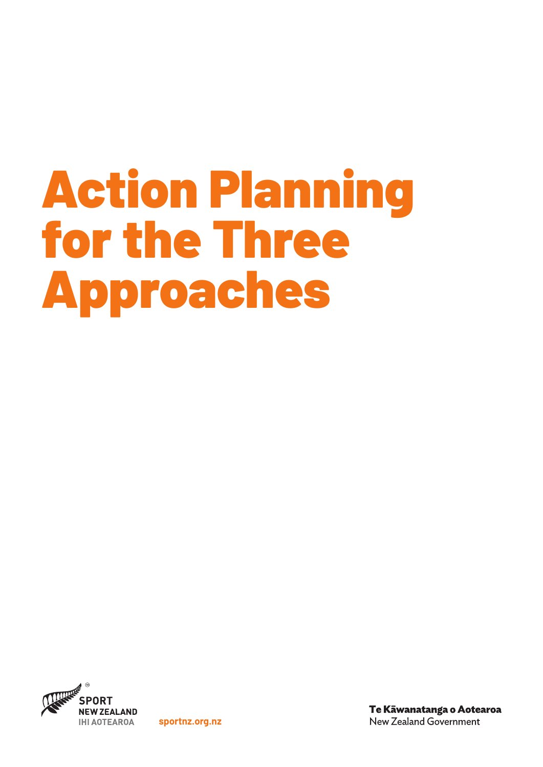# Action Planning for the Three Approaches



**sportnz.org.nz**

Te Kāwanatanga o Aotearoa New Zealand Government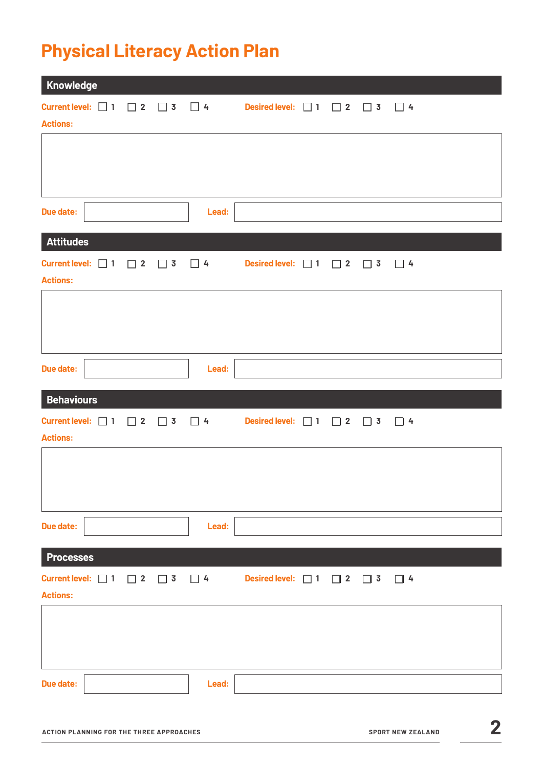# **Physical Literacy Action Plan**

| Knowledge         |  |  |       |                                                                                                       |  |  |
|-------------------|--|--|-------|-------------------------------------------------------------------------------------------------------|--|--|
| <b>Actions:</b>   |  |  |       | Current level: $\Box$ 1 $\Box$ 2 $\Box$ 3 $\Box$ 4 Desired level: $\Box$ 1 $\Box$ 2 $\Box$ 3 $\Box$ 4 |  |  |
|                   |  |  |       |                                                                                                       |  |  |
|                   |  |  |       |                                                                                                       |  |  |
| <b>Due date:</b>  |  |  | Lead: |                                                                                                       |  |  |
| <b>Attitudes</b>  |  |  |       |                                                                                                       |  |  |
| <b>Actions:</b>   |  |  |       | Current level: $\Box$ 1 $\Box$ 2 $\Box$ 3 $\Box$ 4 Desired level: $\Box$ 1 $\Box$ 2 $\Box$ 3 $\Box$ 4 |  |  |
|                   |  |  |       |                                                                                                       |  |  |
|                   |  |  |       |                                                                                                       |  |  |
| <b>Due date:</b>  |  |  | Lead: |                                                                                                       |  |  |
| <b>Behaviours</b> |  |  |       |                                                                                                       |  |  |
| <b>Actions:</b>   |  |  |       | Current level: $\Box$ 1 $\Box$ 2 $\Box$ 3 $\Box$ 4 Desired level: $\Box$ 1 $\Box$ 2 $\Box$ 3 $\Box$ 4 |  |  |
|                   |  |  |       |                                                                                                       |  |  |
|                   |  |  |       |                                                                                                       |  |  |
| <b>Due date:</b>  |  |  | Lead: |                                                                                                       |  |  |
| <b>Processes</b>  |  |  |       |                                                                                                       |  |  |
| <b>Actions:</b>   |  |  |       | Current level: $\Box$ 1 $\Box$ 2 $\Box$ 3 $\Box$ 4 Desired level: $\Box$ 1 $\Box$ 2 $\Box$ 3 $\Box$ 4 |  |  |
|                   |  |  |       |                                                                                                       |  |  |
|                   |  |  |       |                                                                                                       |  |  |
|                   |  |  |       |                                                                                                       |  |  |
| <b>Due date:</b>  |  |  | Lead: |                                                                                                       |  |  |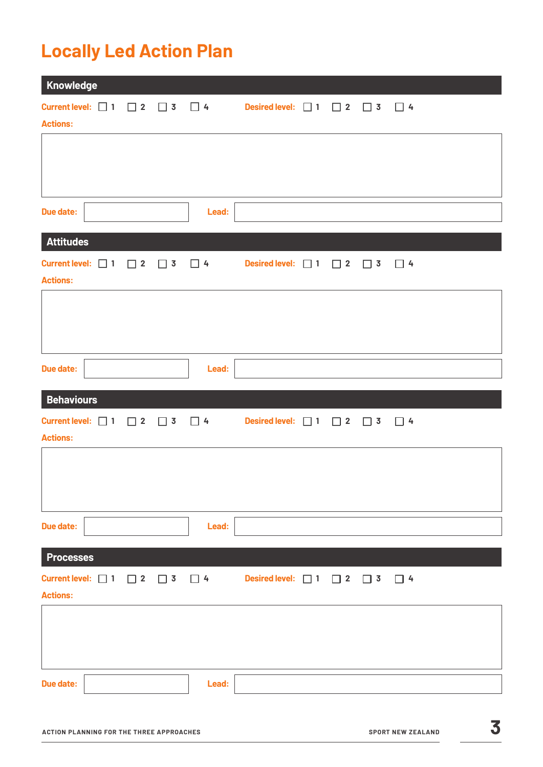## **Locally Led Action Plan**

| Knowledge         |  |       |                                                                                                       |  |  |
|-------------------|--|-------|-------------------------------------------------------------------------------------------------------|--|--|
| <b>Actions:</b>   |  |       | Current level: $\Box$ 1 $\Box$ 2 $\Box$ 3 $\Box$ 4 Desired level: $\Box$ 1 $\Box$ 2 $\Box$ 3 $\Box$ 4 |  |  |
|                   |  |       |                                                                                                       |  |  |
|                   |  |       |                                                                                                       |  |  |
| <b>Due date:</b>  |  | Lead: |                                                                                                       |  |  |
| <b>Attitudes</b>  |  |       |                                                                                                       |  |  |
| <b>Actions:</b>   |  |       | Current level: $\Box$ 1 $\Box$ 2 $\Box$ 3 $\Box$ 4 Desired level: $\Box$ 1 $\Box$ 2 $\Box$ 3 $\Box$ 4 |  |  |
|                   |  |       |                                                                                                       |  |  |
|                   |  |       |                                                                                                       |  |  |
| <b>Due date:</b>  |  | Lead: |                                                                                                       |  |  |
| <b>Behaviours</b> |  |       |                                                                                                       |  |  |
| <b>Actions:</b>   |  |       | Current level: $\Box$ 1 $\Box$ 2 $\Box$ 3 $\Box$ 4 Desired level: $\Box$ 1 $\Box$ 2 $\Box$ 3 $\Box$ 4 |  |  |
|                   |  |       |                                                                                                       |  |  |
|                   |  |       |                                                                                                       |  |  |
| <b>Due date:</b>  |  | Lead: |                                                                                                       |  |  |
|                   |  |       |                                                                                                       |  |  |
| <b>Processes</b>  |  |       |                                                                                                       |  |  |
| <b>Actions:</b>   |  |       | Current level: $\Box$ 1 $\Box$ 2 $\Box$ 3 $\Box$ 4 Desired level: $\Box$ 1 $\Box$ 2 $\Box$ 3 $\Box$ 4 |  |  |
|                   |  |       |                                                                                                       |  |  |
|                   |  |       |                                                                                                       |  |  |
|                   |  |       |                                                                                                       |  |  |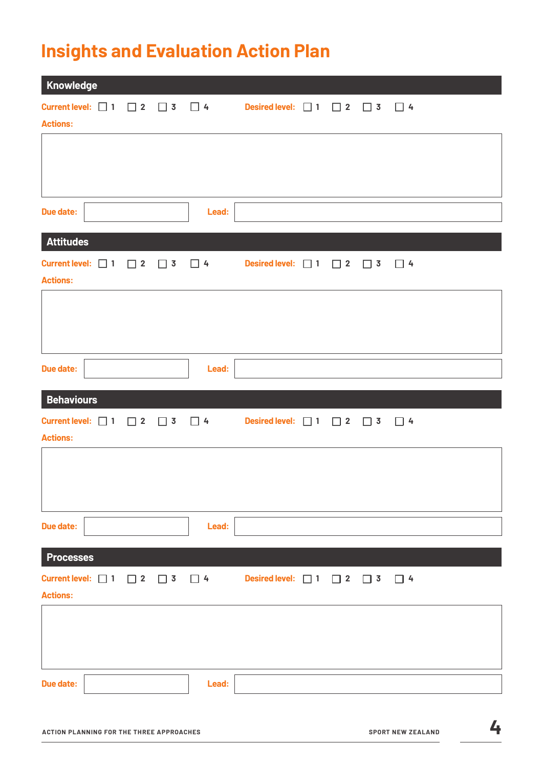## **Insights and Evaluation Action Plan**

| Knowledge         |  |  |       |                                                                                                       |  |  |
|-------------------|--|--|-------|-------------------------------------------------------------------------------------------------------|--|--|
| <b>Actions:</b>   |  |  |       | Current level: $\Box$ 1 $\Box$ 2 $\Box$ 3 $\Box$ 4 Desired level: $\Box$ 1 $\Box$ 2 $\Box$ 3 $\Box$ 4 |  |  |
|                   |  |  |       |                                                                                                       |  |  |
|                   |  |  |       |                                                                                                       |  |  |
| <b>Due date:</b>  |  |  | Lead: |                                                                                                       |  |  |
| <b>Attitudes</b>  |  |  |       |                                                                                                       |  |  |
| <b>Actions:</b>   |  |  |       | Current level: $\Box$ 1 $\Box$ 2 $\Box$ 3 $\Box$ 4 Desired level: $\Box$ 1 $\Box$ 2 $\Box$ 3 $\Box$ 4 |  |  |
|                   |  |  |       |                                                                                                       |  |  |
|                   |  |  |       |                                                                                                       |  |  |
| <b>Due date:</b>  |  |  | Lead: |                                                                                                       |  |  |
| <b>Behaviours</b> |  |  |       |                                                                                                       |  |  |
| <b>Actions:</b>   |  |  |       | Current level: $\Box$ 1 $\Box$ 2 $\Box$ 3 $\Box$ 4 Desired level: $\Box$ 1 $\Box$ 2 $\Box$ 3 $\Box$ 4 |  |  |
|                   |  |  |       |                                                                                                       |  |  |
|                   |  |  |       |                                                                                                       |  |  |
| <b>Due date:</b>  |  |  | Lead: |                                                                                                       |  |  |
| <b>Processes</b>  |  |  |       |                                                                                                       |  |  |
| <b>Actions:</b>   |  |  |       | Current level: $\Box$ 1 $\Box$ 2 $\Box$ 3 $\Box$ 4 Desired level: $\Box$ 1 $\Box$ 2 $\Box$ 3 $\Box$ 4 |  |  |
|                   |  |  |       |                                                                                                       |  |  |
|                   |  |  |       |                                                                                                       |  |  |
| <b>Due date:</b>  |  |  | Lead: |                                                                                                       |  |  |
|                   |  |  |       |                                                                                                       |  |  |